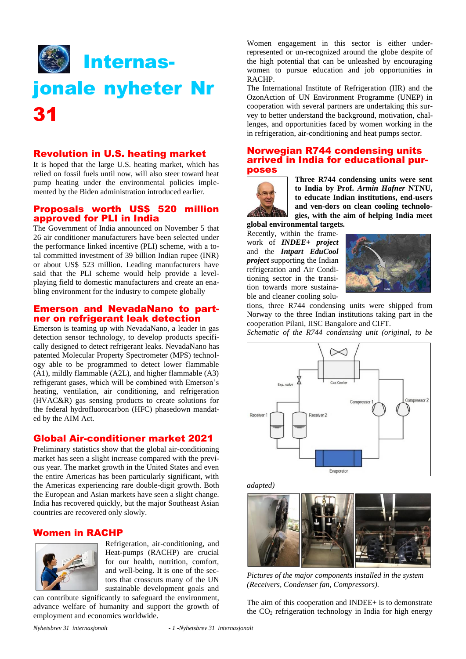

### Revolution in U.S. heating market

It is hoped that the large U.S. heating market, which has relied on fossil fuels until now, will also steer toward heat pump heating under the environmental policies implemented by the Biden administration introduced earlier.

#### Proposals worth US\$ 520 million approved for PLI in India

The Government of India announced on November 5 that 26 air conditioner manufacturers have been selected under the performance linked incentive (PLI) scheme, with a total committed investment of 39 billion Indian rupee (INR) or about US\$ 523 million. Leading manufacturers have said that the PLI scheme would help provide a levelplaying field to domestic manufacturers and create an enabling environment for the industry to compete globally

#### Emerson and NevadaNano to partner on refrigerant leak detection

Emerson is teaming up with NevadaNano, a leader in gas detection sensor technology, to develop products specifically designed to detect refrigerant leaks. NevadaNano has patented Molecular Property Spectrometer (MPS) technology able to be programmed to detect lower flammable (A1), mildly flammable (A2L), and higher flammable (A3) refrigerant gases, which will be combined with Emerson's heating, ventilation, air conditioning, and refrigeration (HVAC&R) gas sensing products to create solutions for the federal hydrofluorocarbon (HFC) phasedown mandated by the AIM Act.

#### Global Air-conditioner market 2021

Preliminary statistics show that the global air-conditioning market has seen a slight increase compared with the previous year. The market growth in the United States and even the entire Americas has been particularly significant, with the Americas experiencing rare double-digit growth. Both the European and Asian markets have seen a slight change. India has recovered quickly, but the major Southeast Asian countries are recovered only slowly.

# Women in RACHP



Refrigeration, air-conditioning, and Heat-pumps (RACHP) are crucial for our health, nutrition, comfort, and well-being. It is one of the sectors that crosscuts many of the UN sustainable development goals and

can contribute significantly to safeguard the environment, advance welfare of humanity and support the growth of employment and economics worldwide.

Women engagement in this sector is either underrepresented or un-recognized around the globe despite of the high potential that can be unleashed by encouraging women to pursue education and job opportunities in RACHP.

The International Institute of Refrigeration (IIR) and the OzonAction of UN Environment Programme (UNEP) in cooperation with several partners are undertaking this survey to better understand the background, motivation, challenges, and opportunities faced by women working in the in refrigeration, air-conditioning and heat pumps sector.

#### Norwegian R744 condensing units arrived in India for educational purposes



**Three R744 condensing units were sent to India by Prof.** *Armin Hafner* **NTNU, to educate Indian institutions, end-users and ven-dors on clean cooling technologies, with the aim of helping India meet** 

**global environmental targets.** 

Recently, within the framework of *INDEE+ project*  and the *Intpart EduCool project* supporting the Indian refrigeration and Air Conditioning sector in the transition towards more sustainable and cleaner cooling solu-



tions, three R744 condensing units were shipped from Norway to the three Indian institutions taking part in the cooperation Pilani, IISC Bangalore and CIFT.

*Schematic of the R744 condensing unit (original, to be* 



*adapted)*



*Pictures of the major components installed in the system (Receivers, Condenser fan, Compressors).*

The aim of this cooperation and INDEE+ is to demonstrate the  $CO<sub>2</sub>$  refrigeration technology in India for high energy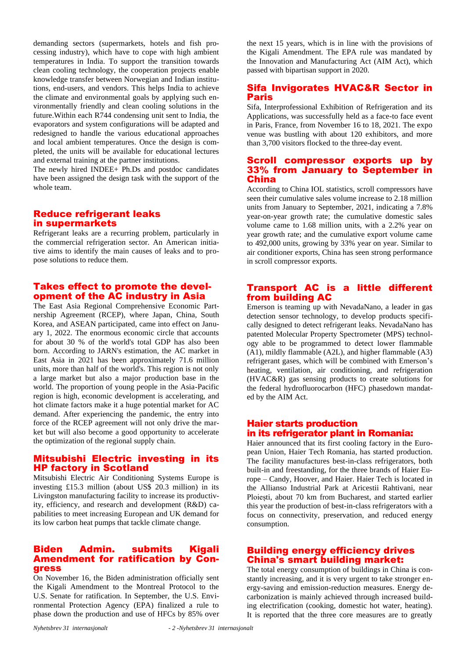demanding sectors (supermarkets, hotels and fish processing industry), which have to cope with high ambient temperatures in India. To support the transition towards clean cooling technology, the cooperation projects enable knowledge transfer between Norwegian and Indian institutions, end-users, and vendors. This helps India to achieve the climate and environmental goals by applying such environmentally friendly and clean cooling solutions in the future.Within each R744 condensing unit sent to India, the evaporators and system configurations will be adapted and redesigned to handle the various educational approaches and local ambient temperatures. Once the design is completed, the units will be available for educational lectures and external training at the partner institutions.

The newly hired INDEE+ Ph.Ds and postdoc candidates have been assigned the design task with the support of the whole team.

# Reduce refrigerant leaks in supermarkets

Refrigerant leaks are a recurring problem, particularly in the commercial refrigeration sector. An American initiative aims to identify the main causes of leaks and to propose solutions to reduce them.

# Takes effect to promote the development of the AC industry in Asia

The East Asia Regional Comprehensive Economic Partnership Agreement (RCEP), where Japan, China, South Korea, and ASEAN participated, came into effect on January 1, 2022. The enormous economic circle that accounts for about 30 % of the world's total GDP has also been born. According to JARN's estimation, the AC market in East Asia in 2021 has been approximately 71.6 million units, more than half of the world's. This region is not only a large market but also a major production base in the world. The proportion of young people in the Asia-Pacific region is high, economic development is accelerating, and hot climate factors make it a huge potential market for AC demand. After experiencing the pandemic, the entry into force of the RCEP agreement will not only drive the market but will also become a good opportunity to accelerate the optimization of the regional supply chain.

### Mitsubishi Electric investing in its HP factory in Scotland

Mitsubishi Electric Air Conditioning Systems Europe is investing £15.3 million (about US\$ 20.3 million) in its Livingston manufacturing facility to increase its productivity, efficiency, and research and development (R&D) capabilities to meet increasing European and UK demand for its low carbon heat pumps that tackle climate change.

#### Biden Admin. submits Kigali Amendment for ratification by Congress

On November 16, the Biden administration officially sent the Kigali Amendment to the Montreal Protocol to the U.S. Senate for ratification. In September, the U.S. Environmental Protection Agency (EPA) finalized a rule to phase down the production and use of HFCs by 85% over

the next 15 years, which is in line with the provisions of the Kigali Amendment. The EPA rule was mandated by the Innovation and Manufacturing Act (AIM Act), which passed with bipartisan support in 2020.

# Sifa Invigorates HVAC&R Sector in Paris

Sifa, Interprofessional Exhibition of Refrigeration and its Applications, was successfully held as a face-to face event in Paris, France, from November 16 to 18, 2021. The expo venue was bustling with about 120 exhibitors, and more than 3,700 visitors flocked to the three-day event.

# Scroll compressor exports up by 33% from January to September in China

According to China IOL statistics, scroll compressors have seen their cumulative sales volume increase to 2.18 million units from January to September, 2021, indicating a 7.8% year-on-year growth rate; the cumulative domestic sales volume came to 1.68 million units, with a 2.2% year on year growth rate; and the cumulative export volume came to 492,000 units, growing by 33% year on year. Similar to air conditioner exports, China has seen strong performance in scroll compressor exports.

### Transport AC is a little different from building AC

Emerson is teaming up with NevadaNano, a leader in gas detection sensor technology, to develop products specifically designed to detect refrigerant leaks. NevadaNano has patented Molecular Property Spectrometer (MPS) technology able to be programmed to detect lower flammable (A1), mildly flammable (A2L), and higher flammable (A3) refrigerant gases, which will be combined with Emerson's heating, ventilation, air conditioning, and refrigeration (HVAC&R) gas sensing products to create solutions for the federal hydrofluorocarbon (HFC) phasedown mandated by the AIM Act.

#### Haier starts production in its refrigerator plant in Romania:

Haier announced that its first cooling factory in the European Union, Haier Tech Romania, has started production. The facility manufactures best-in-class refrigerators, both built-in and freestanding, for the three brands of Haier Europe – Candy, Hoover, and Haier. Haier Tech is located in the Allianso Industrial Park at Aricestii Rahtivani, near Ploiești, about 70 km from Bucharest, and started earlier this year the production of best-in-class refrigerators with a focus on connectivity, preservation, and reduced energy consumption.

# Building energy efficiency drives China's smart building market:

The total energy consumption of buildings in China is constantly increasing, and it is very urgent to take stronger energy-saving and emission-reduction measures. Energy decarbonization is mainly achieved through increased building electrification (cooking, domestic hot water, heating). It is reported that the three core measures are to greatly